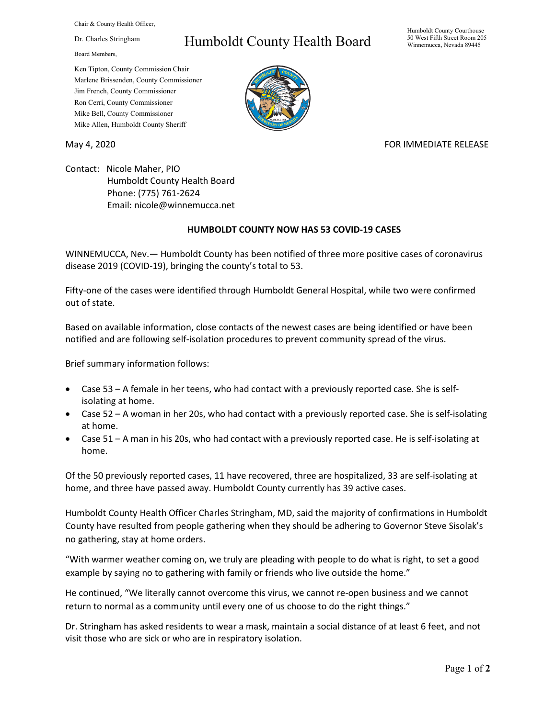Chair & County Health Officer,

Dr. Charles Stringham

Board Members,

## Humboldt County Health Board

Humboldt County Courthouse 50 West Fifth Street Room 205 Winnemucca, Nevada 89445

Ken Tipton, County Commission Chair Marlene Brissenden, County Commissioner Jim French, County Commissioner Ron Cerri, County Commissioner Mike Bell, County Commissioner Mike Allen, Humboldt County Sheriff

## May 4, 2020 **FOR IMMEDIATE RELEASE**

Contact: Nicole Maher, PIO Humboldt County Health Board Phone: (775) 761-2624 Email: nicole@winnemucca.net

## **HUMBOLDT COUNTY NOW HAS 53 COVID-19 CASES**

WINNEMUCCA, Nev.— Humboldt County has been notified of three more positive cases of coronavirus disease 2019 (COVID-19), bringing the county's total to 53.

Fifty-one of the cases were identified through Humboldt General Hospital, while two were confirmed out of state.

Based on available information, close contacts of the newest cases are being identified or have been notified and are following self-isolation procedures to prevent community spread of the virus.

Brief summary information follows:

- Case 53 A female in her teens, who had contact with a previously reported case. She is selfisolating at home.
- Case 52 A woman in her 20s, who had contact with a previously reported case. She is self-isolating at home.
- Case 51 A man in his 20s, who had contact with a previously reported case. He is self-isolating at home.

Of the 50 previously reported cases, 11 have recovered, three are hospitalized, 33 are self-isolating at home, and three have passed away. Humboldt County currently has 39 active cases.

Humboldt County Health Officer Charles Stringham, MD, said the majority of confirmations in Humboldt County have resulted from people gathering when they should be adhering to Governor Steve Sisolak's no gathering, stay at home orders.

"With warmer weather coming on, we truly are pleading with people to do what is right, to set a good example by saying no to gathering with family or friends who live outside the home."

He continued, "We literally cannot overcome this virus, we cannot re-open business and we cannot return to normal as a community until every one of us choose to do the right things."

Dr. Stringham has asked residents to wear a mask, maintain a social distance of at least 6 feet, and not visit those who are sick or who are in respiratory isolation.